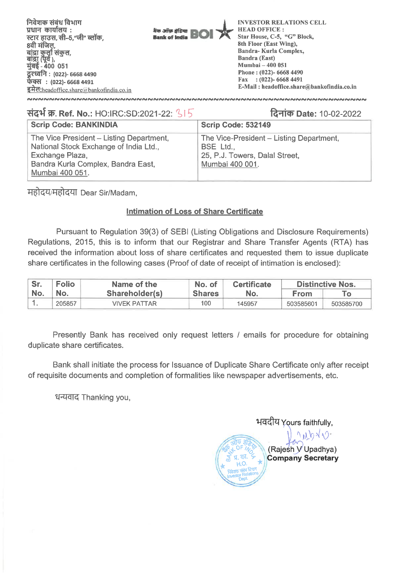| $: (022)$ -6668 4491<br>Fax | निवेशक संबंध विभाग<br>प्रधान कार्यालय :<br>स्टार हाउस, सी–5,"जी" ब्लॉक,<br>8वी मंजिल<br>बांद्रा कुर्ला संकुल,<br>बांद्रा (पूर्व ),<br>मुंबई - 400 051<br>दूरध्वनि : (022)- 6668 4490<br>फेक्स : (022)- 6668 4491<br>$\overline{\mathbf{\xi}}$ <b>H</b> eadoffice.share a bankofindia.co.in | बैंक ऑफ़ इंडिया<br><b>Bank of India</b> | <b>INVESTOR RELATIONS CELL</b><br><b>HEAD OFFICE:</b><br>Star House, C-5, "G" Block,<br>8th Floor (East Wing).<br>Bandra-Kurla Complex,<br><b>Bandra (East)</b><br><b>Mumbai - 400 051</b><br>Phone: $(022)$ - 6668 4490<br>E-Mail: headoffice.share@bankofindia.co.in |
|-----------------------------|--------------------------------------------------------------------------------------------------------------------------------------------------------------------------------------------------------------------------------------------------------------------------------------------|-----------------------------------------|------------------------------------------------------------------------------------------------------------------------------------------------------------------------------------------------------------------------------------------------------------------------|
|                             |                                                                                                                                                                                                                                                                                            |                                         |                                                                                                                                                                                                                                                                        |
|                             |                                                                                                                                                                                                                                                                                            |                                         |                                                                                                                                                                                                                                                                        |
|                             |                                                                                                                                                                                                                                                                                            |                                         |                                                                                                                                                                                                                                                                        |
|                             |                                                                                                                                                                                                                                                                                            |                                         |                                                                                                                                                                                                                                                                        |
|                             |                                                                                                                                                                                                                                                                                            |                                         |                                                                                                                                                                                                                                                                        |
|                             |                                                                                                                                                                                                                                                                                            |                                         |                                                                                                                                                                                                                                                                        |
|                             |                                                                                                                                                                                                                                                                                            |                                         |                                                                                                                                                                                                                                                                        |
|                             |                                                                                                                                                                                                                                                                                            |                                         |                                                                                                                                                                                                                                                                        |
|                             |                                                                                                                                                                                                                                                                                            |                                         |                                                                                                                                                                                                                                                                        |

# **VtPf W. Ref. No.: HO:IRC:SD:2021-22: c RIM) Date: 10-02-2022**

| <b>Scrip Code: BANKINDIA</b>                                                                                                                                   | <b>Scrip Code: 532149</b>                                                                                         |
|----------------------------------------------------------------------------------------------------------------------------------------------------------------|-------------------------------------------------------------------------------------------------------------------|
| The Vice President - Listing Department,<br>National Stock Exchange of India Ltd.,<br>Exchange Plaza,<br>Bandra Kurla Complex, Bandra East,<br>Mumbai 400 051. | The Vice-President - Listing Department,<br><b>BSE</b> Ltd.,<br>25, P.J. Towers, Dalal Street,<br>Mumbai 400 001. |

महोदय/महोदया Dear Sir/Madam,

### **Intimation of Loss of Share Certificate**

Pursuant to Regulation 39(3) of SEBI (Listing **Obligations and Disclosure Requirements) Regulations, 2015, this is to inform that our Registrar and Share Transfer Agents (RTA) has received the information about loss of share certificates and requested them to issue duplicate share certificates in the following cases (Proof of date of receipt of intimation is enclosed):** 

| Sr. | <b>Folio</b> | Name of the    | No. of        | <b>Certificate</b> | <b>Distinctive Nos.</b> |           |  |
|-----|--------------|----------------|---------------|--------------------|-------------------------|-----------|--|
| No. | No.          | Shareholder(s) | <b>Shares</b> |                    | <b>From</b>             |           |  |
|     | 205857       | VIVEK PATTAR   | 100           | 145957             | 503585601               | 503585700 |  |

Presently Bank has received only request letters / emails for procedure for obtaining duplicate share certificates.

Bank shall initiate the process for Issuance of Duplicate Share Certificate only after receipt of requisite documents and completion of formalities like newspaper advertisements, etc.

धन्यवाद Thanking you,

भवदीय Yours faithfully,<br> $\bigcup_{\alpha} \bigwedge_{\beta} \bigwedge_{\beta} \bigwedge_{\beta} \bigwedge_{\beta} \bigwedge_{\beta} \bigwedge_{\beta} \bigwedge_{\beta} \bigwedge_{\beta} \bigwedge_{\beta} \bigwedge_{\beta} \bigwedge_{\beta} \bigwedge_{\beta} \bigwedge_{\beta} \bigwedge_{\beta} \bigwedge_{\beta} \bigwedge_{\beta} \bigwedge_{\beta} \bigwedge_{\beta} \bigwedge_{\beta} \bigwedge_{\beta} \bigwedge_{\beta} \bigwedge_{\beta} \bigwedge_{\beta} \bigwedge$ **(** 446 OF *, g).* (Raje h Upadhya) **Company Secretary or H.O.**  Investor Relations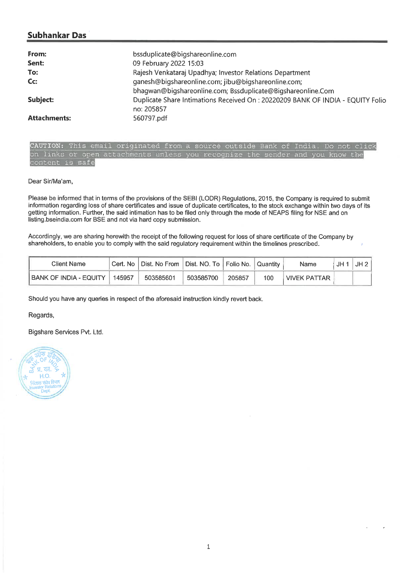## **Subhankar Das**

| From:               | bssduplicate@bigshareonline.com                                                               |
|---------------------|-----------------------------------------------------------------------------------------------|
| Sent:               | 09 February 2022 15:03                                                                        |
| To:                 | Rajesh Venkataraj Upadhya; Investor Relations Department                                      |
| Cc:                 | ganesh@biqshareonline.com; jibu@biqshareonline.com;                                           |
|                     | bhagwan@bigshareonline.com; Bssduplicate@Bigshareonline.Com                                   |
| Subject:            | Duplicate Share Intimations Received On : 20220209 BANK OF INDIA - EQUITY Folio<br>no: 205857 |
| <b>Attachments:</b> | 560797.pdf                                                                                    |

| CAUTION: This email originated from a source outside Bank of India. Do not click |  |  |  |  |  |  |  |
|----------------------------------------------------------------------------------|--|--|--|--|--|--|--|
| on links or open attachments unless you recognize the sender and you know the    |  |  |  |  |  |  |  |
| content is safe                                                                  |  |  |  |  |  |  |  |

#### Dear Sir/Ma'am,

Please be informed that in terms of the provisions of the SEBI (LODR) Regulations, 2015, the Company is required to submit information regarding loss of share certificates and issue of duplicate certificates, to the stock exchange within two days of its getting information. Further, the said intimation has to be filed only through the mode of NEAPS filing for NSE and on listing.bseindia.com for BSE and not via hard copy submission.

Accordingly, we are sharing herewith the receipt of the following request for loss of share certificate of the Company by shareholders, to enable you to comply with the said regulatory requirement within the timelines prescribed.

| Client Name            |        | Cert. No   Dist. No From   Dist. NO. To   Folio No. |           |        | l Quantitv | Name         | JH | JH 2 |
|------------------------|--------|-----------------------------------------------------|-----------|--------|------------|--------------|----|------|
| BANK OF INDIA - EQUITY | 145957 | 503585601                                           | 503585700 | 205857 | 100        | VIVEK PATTAR |    |      |

Should you have any queries in respect of the aforesaid instruction kindly revert back.

Regards,

Bigshare Services Pvt. Ltd.